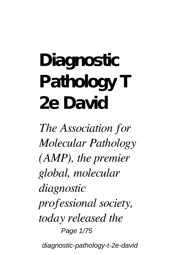# **Diagnostic Pathology T 2e David**

*The Association for Molecular Pathology (AMP), the premier global, molecular diagnostic professional society, today released the* Page 1/75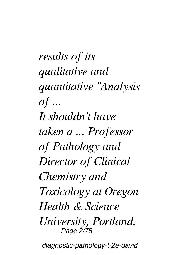*results of its qualitative and quantitative "Analysis of ... It shouldn't have taken a ... Professor of Pathology and Director of Clinical Chemistry and Toxicology at Oregon Health & Science University, Portland,* Page 2/75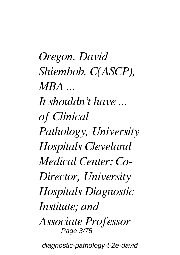*Oregon. David Shiembob, C(ASCP), MBA ... It shouldn't have ... of Clinical Pathology, University Hospitals Cleveland Medical Center; Co-Director, University Hospitals Diagnostic Institute; and Associate Professor* Page 3/75 diagnostic-pathology-t-2e-david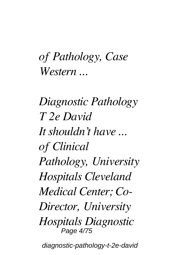#### *of Pathology, Case Western ...*

*Diagnostic Pathology T 2e David It shouldn't have ... of Clinical Pathology, University Hospitals Cleveland Medical Center; Co-Director, University Hospitals Diagnostic* Page 4/75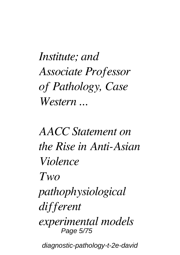*Institute; and Associate Professor of Pathology, Case Western ...*

*AACC Statement on the Rise in Anti-Asian Violence Two pathophysiological different experimental models* Page 5/75 diagnostic-pathology-t-2e-david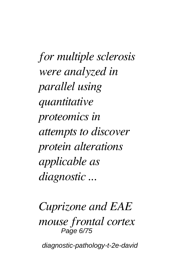*for multiple sclerosis were analyzed in parallel using quantitative proteomics in attempts to discover protein alterations applicable as diagnostic ...*

*Cuprizone and EAE mouse frontal cortex* Page 6/75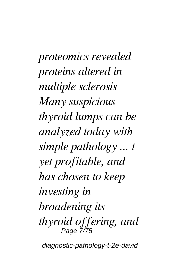*proteomics revealed proteins altered in multiple sclerosis Many suspicious thyroid lumps can be analyzed today with simple pathology ... t yet profitable, and has chosen to keep investing in broadening its thyroid offering, and* Page 7/75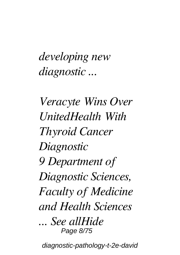*developing new diagnostic ...*

*Veracyte Wins Over UnitedHealth With Thyroid Cancer Diagnostic 9 Department of Diagnostic Sciences, Faculty of Medicine and Health Sciences ... See allHide* Page 8/75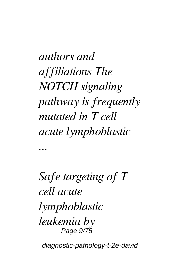*authors and affiliations The NOTCH signaling pathway is frequently mutated in T cell acute lymphoblastic*

*Safe targeting of T cell acute lymphoblastic leukemia by* Page 9/75

*...*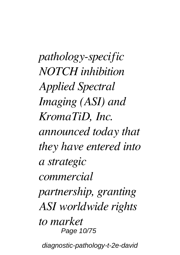*pathology-specific NOTCH inhibition Applied Spectral Imaging (ASI) and KromaTiD, Inc. announced today that they have entered into a strategic commercial partnership, granting ASI worldwide rights to market* Page 10/75 diagnostic-pathology-t-2e-david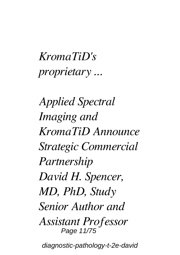### *KromaTiD's proprietary ...*

*Applied Spectral Imaging and KromaTiD Announce Strategic Commercial Partnership David H. Spencer, MD, PhD, Study Senior Author and Assistant Professor* Page 11/75 diagnostic-pathology-t-2e-david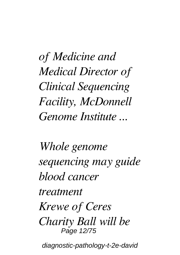*of Medicine and Medical Director of Clinical Sequencing Facility, McDonnell Genome Institute ...*

*Whole genome sequencing may guide blood cancer treatment Krewe of Ceres Charity Ball will be* Page 12/75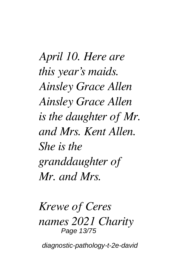*April 10. Here are this year's maids. Ainsley Grace Allen Ainsley Grace Allen is the daughter of Mr. and Mrs. Kent Allen. She is the granddaughter of Mr. and Mrs.*

*Krewe of Ceres names 2021 Charity* Page 13/75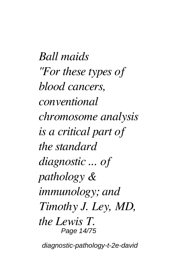*Ball maids "For these types of blood cancers, conventional chromosome analysis is a critical part of the standard diagnostic ... of pathology & immunology; and Timothy J. Ley, MD, the Lewis T.* Page 14/75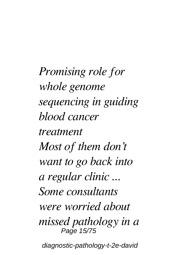*Promising role for whole genome sequencing in guiding blood cancer treatment Most of them don't want to go back into a regular clinic ... Some consultants were worried about missed pathology in a* Page 15/75 diagnostic-pathology-t-2e-david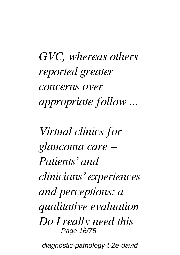*GVC, whereas others reported greater concerns over appropriate follow ...*

*Virtual clinics for glaucoma care – Patients' and clinicians' experiences and perceptions: a qualitative evaluation Do I really need this* Page 16/75 diagnostic-pathology-t-2e-david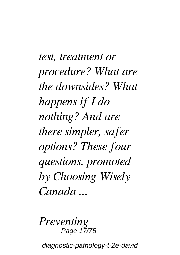*test, treatment or procedure? What are the downsides? What happens if I do nothing? And are there simpler, safer options? These four questions, promoted by Choosing Wisely Canada ...*

*Preventing* Page 17/75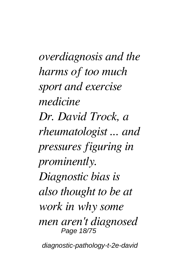*overdiagnosis and the harms of too much sport and exercise medicine Dr. David Trock, a rheumatologist ... and pressures figuring in prominently. Diagnostic bias is also thought to be at work in why some men aren't diagnosed* Page 18/75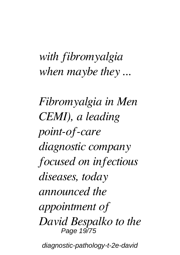#### *with fibromyalgia when maybe they ...*

*Fibromyalgia in Men CEMI), a leading point-of-care diagnostic company focused on infectious diseases, today announced the appointment of David Bespalko to the* Page 19/75 diagnostic-pathology-t-2e-david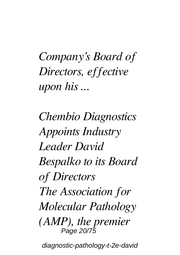*Company's Board of Directors, effective upon his ...*

*Chembio Diagnostics Appoints Industry Leader David Bespalko to its Board of Directors The Association for Molecular Pathology (AMP), the premier* Page 20/75 diagnostic-pathology-t-2e-david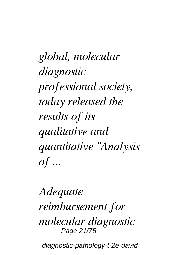*global, molecular diagnostic professional society, today released the results of its qualitative and quantitative "Analysis of ...*

*Adequate reimbursement for molecular diagnostic* Page 21/75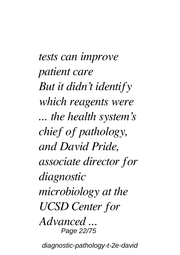*tests can improve patient care But it didn't identify which reagents were ... the health system's chief of pathology, and David Pride, associate director for diagnostic microbiology at the UCSD Center for Advanced ...* Page 22/75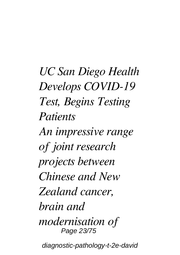*UC San Diego Health Develops COVID-19 Test, Begins Testing Patients*

*An impressive range of joint research projects between Chinese and New Zealand cancer, brain and modernisation of* Page 23/75 diagnostic-pathology-t-2e-david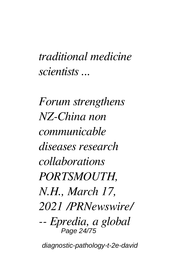#### *traditional medicine scientists ...*

*Forum strengthens NZ-China non communicable diseases research collaborations PORTSMOUTH, N.H., March 17, 2021 /PRNewswire/ -- Epredia, a global* Page 24/75 diagnostic-pathology-t-2e-david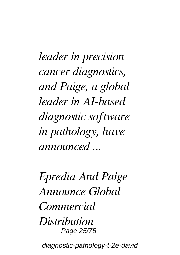*leader in precision cancer diagnostics, and Paige, a global leader in AI-based diagnostic software in pathology, have announced ...*

*Epredia And Paige Announce Global Commercial Distribution* Page 25/75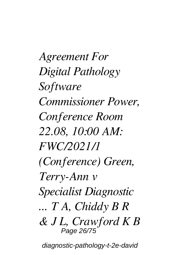*Agreement For Digital Pathology Software Commissioner Power, Conference Room 22.08, 10:00 AM: FWC/2021/1 (Conference) Green, Terry-Ann v Specialist Diagnostic ... T A, Chiddy B R & J L, Crawford K B* Page 26/75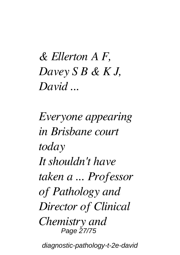*& Ellerton A F, Davey S B & K J, David ...*

*Everyone appearing in Brisbane court today It shouldn't have taken a ... Professor of Pathology and Director of Clinical Chemistry and* Page 27/75 diagnostic-pathology-t-2e-david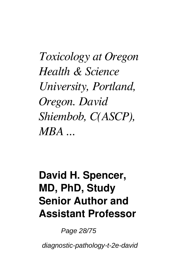*Toxicology at Oregon Health & Science University, Portland, Oregon. David Shiembob, C(ASCP), MBA ...*

#### **David H. Spencer, MD, PhD, Study Senior Author and Assistant Professor**

Page 28/75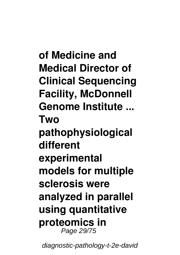**of Medicine and Medical Director of Clinical Sequencing Facility, McDonnell Genome Institute ... Two pathophysiological different experimental models for multiple sclerosis were analyzed in parallel using quantitative proteomics in** Page 29/75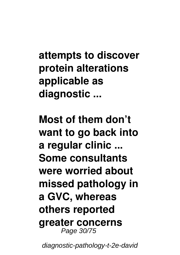**attempts to discover protein alterations applicable as diagnostic ...**

**Most of them don't want to go back into a regular clinic ... Some consultants were worried about missed pathology in a GVC, whereas others reported greater concerns** Page 30/75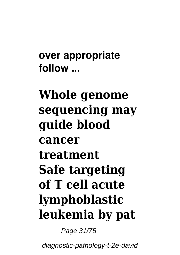**over appropriate follow ...**

## **Whole genome sequencing may guide blood cancer treatment Safe targeting of T cell acute lymphoblastic leukemia by pat**

Page 31/75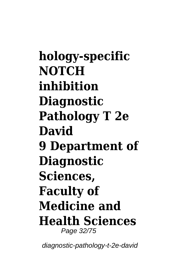**hology-specific NOTCH inhibition Diagnostic Pathology T 2e David 9 Department of Diagnostic Sciences, Faculty of Medicine and Health Sciences** Page 32/75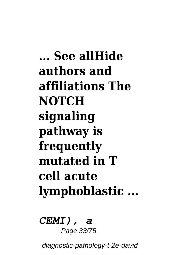**... See allHide authors and affiliations The NOTCH signaling pathway is frequently mutated in T cell acute lymphoblastic ...**

*CEMI), a* Page 33/75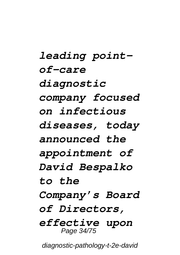*leading pointof-care diagnostic company focused on infectious diseases, today announced the appointment of David Bespalko to the Company's Board of Directors, effective upon* Page 34/75 diagnostic-pathology-t-2e-david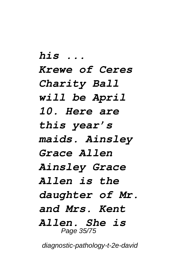*his ... Krewe of Ceres Charity Ball will be April 10. Here are this year's maids. Ainsley Grace Allen Ainsley Grace Allen is the daughter of Mr. and Mrs. Kent Allen. She is* Page 35/75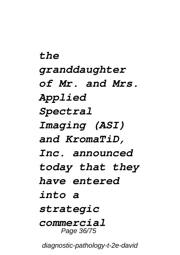*the granddaughter of Mr. and Mrs. Applied Spectral Imaging (ASI) and KromaTiD, Inc. announced today that they have entered into a strategic commercial* Page 36/75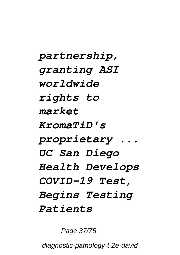*partnership, granting ASI worldwide rights to market KromaTiD's proprietary ... UC San Diego Health Develops COVID-19 Test, Begins Testing Patients*

Page 37/75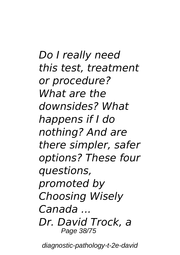*Do I really need this test, treatment or procedure? What are the downsides? What happens if I do nothing? And are there simpler, safer options? These four questions, promoted by Choosing Wisely Canada ... Dr. David Trock, a* Page 38/75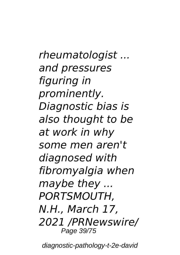*rheumatologist ... and pressures figuring in prominently. Diagnostic bias is also thought to be at work in why some men aren't diagnosed with fibromyalgia when maybe they ... PORTSMOUTH, N.H., March 17, 2021 /PRNewswire/* Page 39/75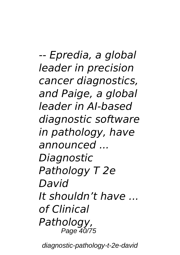*-- Epredia, a global leader in precision cancer diagnostics, and Paige, a global leader in AI-based diagnostic software in pathology, have announced ... Diagnostic Pathology T 2e David It shouldn't have ... of Clinical Pathology,* Page 40/75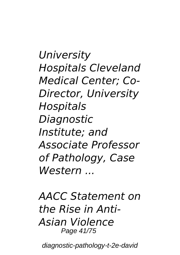*University Hospitals Cleveland Medical Center; Co-Director, University Hospitals Diagnostic Institute; and Associate Professor of Pathology, Case Western ...*

*AACC Statement on the Rise in Anti-Asian Violence* Page 41/75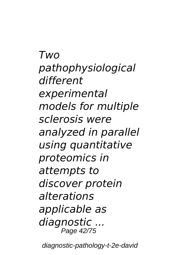*Two pathophysiological different experimental models for multiple sclerosis were analyzed in parallel using quantitative proteomics in attempts to discover protein alterations applicable as diagnostic ...* Page 42/75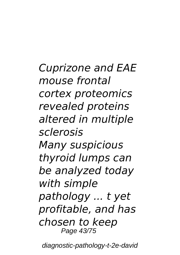*Cuprizone and EAE mouse frontal cortex proteomics revealed proteins altered in multiple sclerosis Many suspicious thyroid lumps can be analyzed today with simple pathology ... t yet profitable, and has chosen to keep* Page 43/75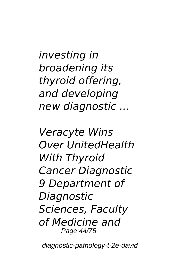*investing in broadening its thyroid offering, and developing new diagnostic ...*

*Veracyte Wins Over UnitedHealth With Thyroid Cancer Diagnostic 9 Department of Diagnostic Sciences, Faculty of Medicine and* Page 44/75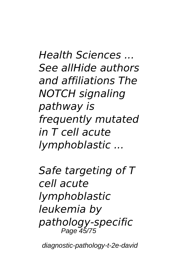*Health Sciences ... See allHide authors and affiliations The NOTCH signaling pathway is frequently mutated in T cell acute lymphoblastic ...*

*Safe targeting of T cell acute lymphoblastic leukemia by pathology-specific* Page 45/75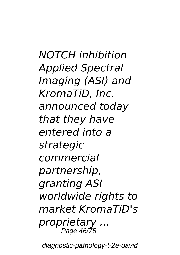*NOTCH inhibition Applied Spectral Imaging (ASI) and KromaTiD, Inc. announced today that they have entered into a strategic commercial partnership, granting ASI worldwide rights to market KromaTiD's proprietary ...* Page 46/75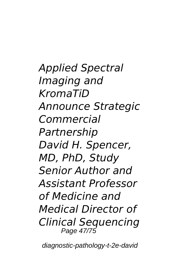*Applied Spectral Imaging and KromaTiD Announce Strategic Commercial Partnership David H. Spencer, MD, PhD, Study Senior Author and Assistant Professor of Medicine and Medical Director of Clinical Sequencing* Page 47/75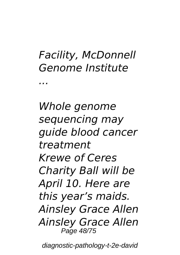#### *Facility, McDonnell Genome Institute*

*...*

*Whole genome sequencing may guide blood cancer treatment Krewe of Ceres Charity Ball will be April 10. Here are this year's maids. Ainsley Grace Allen Ainsley Grace Allen* Page 48/75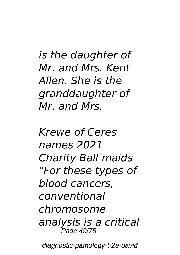*is the daughter of Mr. and Mrs. Kent Allen. She is the granddaughter of Mr. and Mrs.*

*Krewe of Ceres names 2021 Charity Ball maids "For these types of blood cancers, conventional chromosome analysis is a critical* Page 49/75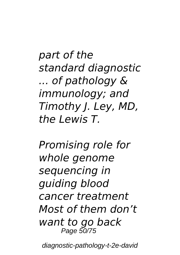*part of the standard diagnostic ... of pathology & immunology; and Timothy J. Ley, MD, the Lewis T.*

*Promising role for whole genome sequencing in guiding blood cancer treatment Most of them don't want to go back* Page 50/75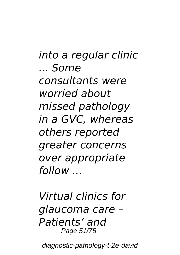*into a regular clinic ... Some consultants were worried about missed pathology in a GVC, whereas others reported greater concerns over appropriate follow ...*

*Virtual clinics for glaucoma care – Patients' and* Page 51/75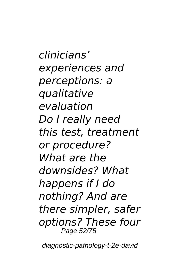*clinicians' experiences and perceptions: a qualitative evaluation Do I really need this test, treatment or procedure? What are the downsides? What happens if I do nothing? And are there simpler, safer options? These four* Page 52/75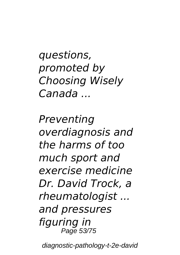*questions, promoted by Choosing Wisely Canada ...*

*Preventing overdiagnosis and the harms of too much sport and exercise medicine Dr. David Trock, a rheumatologist ... and pressures figuring in* Page 53/75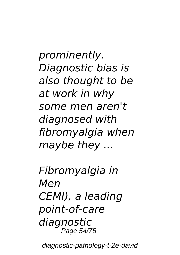*prominently. Diagnostic bias is also thought to be at work in why some men aren't diagnosed with fibromyalgia when maybe they ...*

*Fibromyalgia in Men CEMI), a leading point-of-care diagnostic* Page 54/75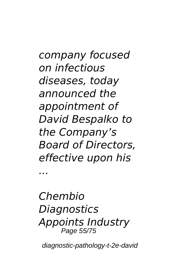*company focused on infectious diseases, today announced the appointment of David Bespalko to the Company's Board of Directors, effective upon his*

*Chembio Diagnostics Appoints Industry* Page 55/75

*...*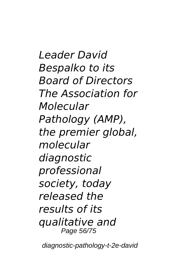*Leader David Bespalko to its Board of Directors The Association for Molecular Pathology (AMP), the premier global, molecular diagnostic professional society, today released the results of its qualitative and* Page 56/75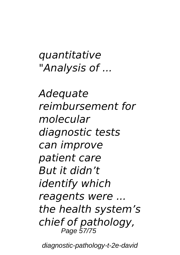*quantitative "Analysis of ...*

*Adequate reimbursement for molecular diagnostic tests can improve patient care But it didn't identify which reagents were ... the health system's chief of pathology,* Page 57/75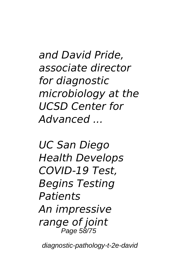*and David Pride, associate director for diagnostic microbiology at the UCSD Center for Advanced ...*

*UC San Diego Health Develops COVID-19 Test, Begins Testing Patients An impressive range of joint* Page 58/75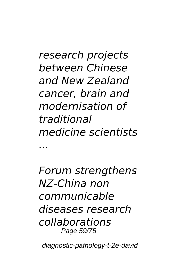*research projects between Chinese and New Zealand cancer, brain and modernisation of traditional medicine scientists ...*

*Forum strengthens NZ-China non communicable diseases research collaborations* Page 59/75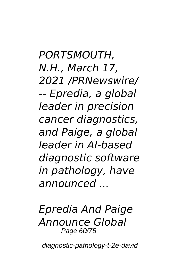*PORTSMOUTH, N.H., March 17, 2021 /PRNewswire/ -- Epredia, a global leader in precision cancer diagnostics, and Paige, a global leader in AI-based diagnostic software in pathology, have announced ...*

*Epredia And Paige Announce Global* Page 60/75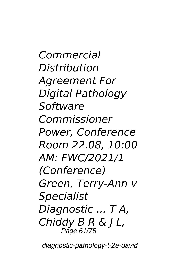*Commercial Distribution Agreement For Digital Pathology Software Commissioner Power, Conference Room 22.08, 10:00 AM: FWC/2021/1 (Conference) Green, Terry-Ann v Specialist Diagnostic ... T A, Chiddy B R & J L,* Page 61/75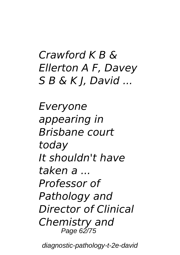#### *Crawford K B & Ellerton A F, Davey S B & K J, David ...*

*Everyone appearing in Brisbane court today It shouldn't have taken a ... Professor of Pathology and Director of Clinical Chemistry and* Page 62/75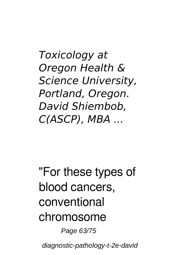*Toxicology at Oregon Health & Science University, Portland, Oregon. David Shiembob, C(ASCP), MBA ...*

## "For these types of blood cancers, conventional chromosome

Page 63/75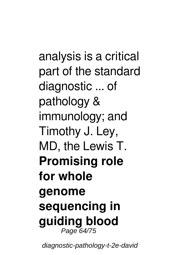analysis is a critical part of the standard diagnostic ... of pathology & immunology; and Timothy J. Ley, MD, the Lewis T. **Promising role for whole genome sequencing in guiding blood** Page 64/75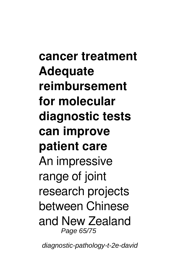**cancer treatment Adequate reimbursement for molecular diagnostic tests can improve patient care** An impressive range of joint research projects between Chinese and New Zealand Page 65/75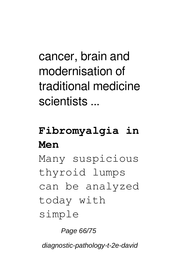cancer, brain and modernisation of traditional medicine scientists ...

#### **Fibromyalgia in Men**

Many suspicious thyroid lumps can be analyzed today with simple

Page 66/75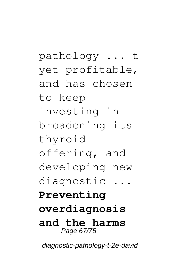pathology ... t yet profitable, and has chosen to keep investing in broadening its thyroid offering, and developing new diagnostic ... **Preventing overdiagnosis and the harms** Page 67/75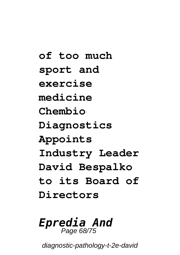**of too much sport and exercise medicine Chembio Diagnostics Appoints Industry Leader David Bespalko to its Board of Directors**

# *Epredia And* Page 68/75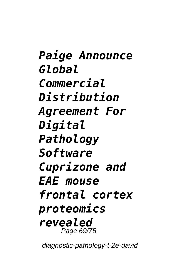*Paige Announce Global Commercial Distribution Agreement For Digital Pathology Software Cuprizone and EAE mouse frontal cortex proteomics revealed* Page 69/75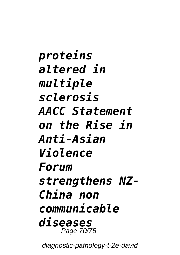*proteins altered in multiple sclerosis AACC Statement on the Rise in Anti-Asian Violence Forum strengthens NZ-China non communicable diseases* Page 70/75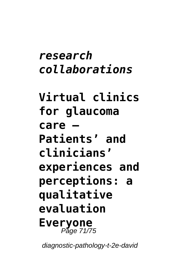### *research collaborations*

**Virtual clinics for glaucoma care – Patients' and clinicians' experiences and perceptions: a qualitative evaluation Everyone** Page 71/75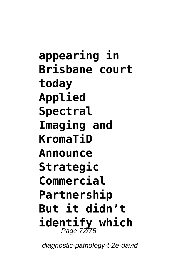**appearing in Brisbane court today Applied Spectral Imaging and KromaTiD Announce Strategic Commercial Partnership But it didn't identify which** Page 72/75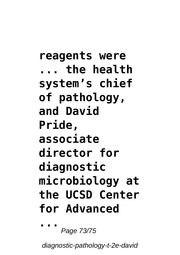**reagents were ... the health system's chief of pathology, and David Pride, associate director for diagnostic microbiology at the UCSD Center for Advanced ...**

Page 73/75

diagnostic-pathology-t-2e-david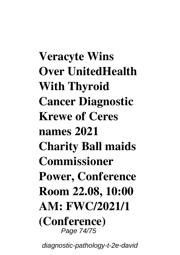**Veracyte Wins Over UnitedHealth With Thyroid Cancer Diagnostic Krewe of Ceres names 2021 Charity Ball maids Commissioner Power, Conference Room 22.08, 10:00 AM: FWC/2021/1 (Conference)** Page 74/75

diagnostic-pathology-t-2e-david